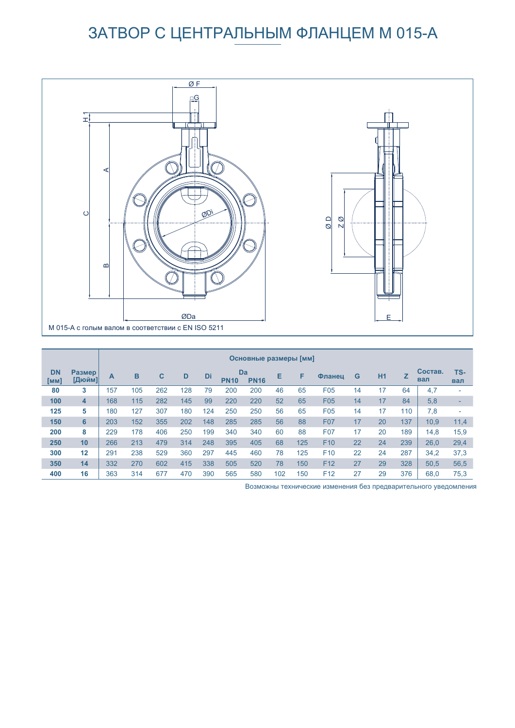# ЗАТВОР С ЦЕНТРАЛЬНЫМ ФЛАНЦЕМ M 015-A



|                   |                                | Основные размеры [мм] |     |     |     |     |                   |             |     |     |                 |    |           |     |                |                          |
|-------------------|--------------------------------|-----------------------|-----|-----|-----|-----|-------------------|-------------|-----|-----|-----------------|----|-----------|-----|----------------|--------------------------|
| <b>DN</b><br>[MM] | <b>Размер</b><br><b>Пл</b> юйм | Α                     | B   | C   | D   | Di  | Da<br><b>PN10</b> | <b>PN16</b> | Е   | F   | Фланец          | G  | <b>H1</b> | Z   | Состав.<br>вал | TS-<br>вал               |
| 80                | 3                              | 157                   | 105 | 262 | 128 | 79  | 200               | 200         | 46  | 65  | F <sub>05</sub> | 14 | 17        | 64  | 4,7            | $\overline{\phantom{0}}$ |
| 100               | 4                              | 168                   | 115 | 282 | 145 | 99  | 220               | 220         | 52  | 65  | F05             | 14 | 17        | 84  | 5,8            | $\qquad \qquad$          |
| 125               | 5                              | 180                   | 127 | 307 | 180 | 124 | 250               | 250         | 56  | 65  | F05             | 14 | 17        | 110 | 7,8            | $\overline{\phantom{0}}$ |
| 150               | 6                              | 203                   | 152 | 355 | 202 | 148 | 285               | 285         | 56  | 88  | <b>F07</b>      | 17 | 20        | 137 | 10,9           | 11,4                     |
| 200               | 8                              | 229                   | 178 | 406 | 250 | 199 | 340               | 340         | 60  | 88  | F07             | 17 | 20        | 189 | 14,8           | 15,9                     |
| 250               | 10                             | 266                   | 213 | 479 | 314 | 248 | 395               | 405         | 68  | 125 | F <sub>10</sub> | 22 | 24        | 239 | 26,0           | 29,4                     |
| 300               | 12                             | 291                   | 238 | 529 | 360 | 297 | 445               | 460         | 78  | 125 | F <sub>10</sub> | 22 | 24        | 287 | 34,2           | 37.3                     |
| 350               | 14                             | 332                   | 270 | 602 | 415 | 338 | 505               | 520         | 78  | 150 | F <sub>12</sub> | 27 | 29        | 328 | 50,5           | 56,5                     |
| 400               | 16                             | 363                   | 314 | 677 | 470 | 390 | 565               | 580         | 102 | 150 | F <sub>12</sub> | 27 | 29        | 376 | 68.0           | 75.3                     |

Возможны технические изменения без предварительного уведомления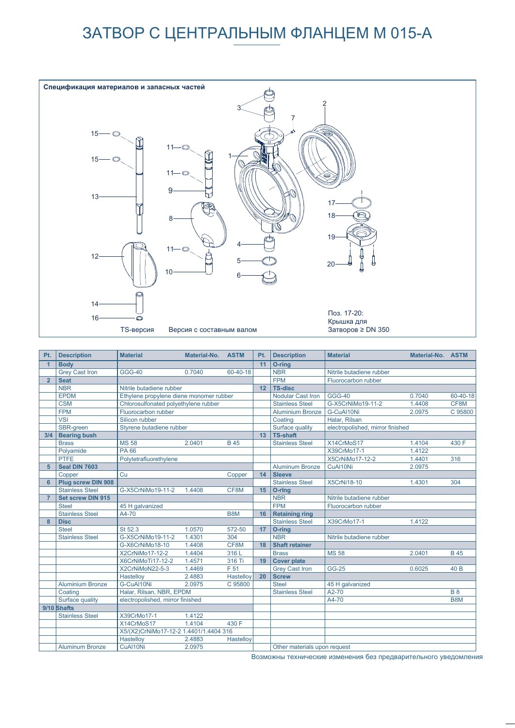## ЗАТВОР С ЦЕНТРАЛЬНЫМ ФЛАНЦЕМ M 015-A



| Pt.            | <b>Description</b>       | <b>Material</b>                        | Material-No.                            | <b>ASTM</b> | Pt.        | <b>Description</b>           | <b>Material</b>                  | Material-No. ASTM |             |  |  |
|----------------|--------------------------|----------------------------------------|-----------------------------------------|-------------|------------|------------------------------|----------------------------------|-------------------|-------------|--|--|
| $\overline{1}$ | <b>Body</b>              |                                        |                                         |             | 11         | O-ring                       |                                  |                   |             |  |  |
|                | <b>Grey Cast Iron</b>    | <b>GGG-40</b>                          | 0.7040                                  | 60-40-18    |            | <b>NBR</b>                   | Nitrile butadiene rubber         |                   |             |  |  |
| $\overline{2}$ | <b>Seat</b>              |                                        |                                         |             | <b>FPM</b> | Fluorocarbon rubber          |                                  |                   |             |  |  |
|                | <b>NBR</b>               | Nitrile butadiene rubber               |                                         |             | 12         | <b>TS-disc</b>               |                                  |                   |             |  |  |
|                | <b>EPDM</b>              |                                        | Ethylene propylene diene monomer rubber |             |            | Nodular Cast Iron            | <b>GGG-40</b>                    | 0.7040            | 60-40-18    |  |  |
|                | <b>CSM</b>               |                                        | Chlorosulfonated polyethylene rubber    |             |            | <b>Stainless Steel</b>       | G-X5CrNiMo19-11-2                | 1.4408            | CF8M        |  |  |
|                | <b>FPM</b>               | Fluorocarbon rubber                    |                                         |             |            | <b>Aluminium Bronze</b>      | G-CuAl10Ni                       | 2.0975            | C 95800     |  |  |
|                | <b>VSI</b>               | Silicon rubber                         |                                         |             |            | Coating                      | Halar, Rilsan                    |                   |             |  |  |
|                | SBR-green                | Styrene butadiene rubber               |                                         |             |            | Surface quality              | electropolished, mirror finished |                   |             |  |  |
| 3/4            | <b>Bearing bush</b>      |                                        |                                         |             | 13         | <b>TS-shaft</b>              |                                  |                   |             |  |  |
|                | <b>Brass</b>             | <b>MS 58</b>                           | 2.0401                                  | <b>B</b> 45 |            | <b>Stainless Steel</b>       | X14CrMoS17                       | 1.4104            | 430 F       |  |  |
|                | Polyamide                | PA 66                                  |                                         |             |            |                              | X39CrMo17-1                      | 1.4122            |             |  |  |
|                | <b>PTFE</b>              | Polytetrafluorethylene                 |                                         |             |            |                              | X5CrNiMo17-12-2                  | 1.4401            | 316         |  |  |
| 5              | Seal DIN 7603            |                                        |                                         |             |            | <b>Aluminum Bronze</b>       | CuAl10Ni                         | 2.0975            |             |  |  |
|                | Copper                   | Cu                                     |                                         | Copper      | 14         | <b>Sleeve</b>                |                                  |                   |             |  |  |
| 6              | Plug screw DIN 908       |                                        |                                         |             |            | <b>Stainless Steel</b>       | <b>X5CrNi18-10</b>               | 1.4301            | 304         |  |  |
|                | <b>Stainless Steel</b>   | G-X5CrNiMo19-11-2                      | 1.4408                                  | CF8M        | 15         | O-ring                       |                                  |                   |             |  |  |
| $\overline{7}$ | <b>Set screw DIN 915</b> |                                        |                                         |             |            | <b>NBR</b>                   | Nitrile butadiene rubber         |                   |             |  |  |
|                | <b>Steel</b>             | 45 H galvanized                        |                                         |             |            | <b>FPM</b>                   | Fluorocarbon rubber              |                   |             |  |  |
|                | <b>Stainless Steel</b>   | A4-70                                  |                                         | B8M         | 16         | <b>Retaining ring</b>        |                                  |                   |             |  |  |
| 8              | <b>Disc</b>              |                                        |                                         |             |            | <b>Stainless Steel</b>       | X39CrMo17-1                      | 1.4122            |             |  |  |
|                | <b>Steel</b>             | St 52.3                                | 1.0570                                  | 572-50      | 17         | O-ring                       |                                  |                   |             |  |  |
|                | <b>Stainless Steel</b>   | G-X5CrNiMo19-11-2                      | 1.4301                                  | 304         |            | <b>NBR</b>                   | Nitrile butadiene rubber         |                   |             |  |  |
|                |                          | G-X6CrNiMo18-10                        | 1.4408                                  | CF8M        | 18         | <b>Shaft retainer</b>        |                                  |                   |             |  |  |
|                |                          | X2CrNiMo17-12-2                        | 1.4404                                  | 316L        |            | <b>Brass</b>                 | <b>MS 58</b>                     | 2.0401            | <b>B</b> 45 |  |  |
|                |                          | X6CrNiMoTi17-12-2                      | 1.4571                                  | 316 Ti      | 19         | <b>Cover plate</b>           |                                  |                   |             |  |  |
|                |                          | X2CrNiMoN22-5-3                        | 1.4469                                  | F 51        |            | <b>Grey Cast Iron</b>        | <b>GG-25</b>                     | 0.6025            | 40 B        |  |  |
|                |                          | Hastelloy                              | 2.4883                                  | Hastelloy   | 20         | <b>Screw</b>                 |                                  |                   |             |  |  |
|                | <b>Aluminium Bronze</b>  | G-CuAl10Ni                             | 2.0975                                  | C 95800     |            | <b>Steel</b>                 | 45 H galvanized                  |                   |             |  |  |
|                | Coating                  | Halar, Rilsan, NBR, EPDM               |                                         |             |            | <b>Stainless Steel</b>       | A2-70                            |                   | <b>B</b> 8  |  |  |
|                | Surface quality          | electropolished, mirror finished       |                                         |             |            |                              | A4-70                            |                   | B8M         |  |  |
|                | 9/10 Shafts              |                                        |                                         |             |            |                              |                                  |                   |             |  |  |
|                | <b>Stainless Steel</b>   | X39CrMo17-1                            | 1.4122                                  |             |            |                              |                                  |                   |             |  |  |
|                |                          | X14CrMoS17                             | 1.4104                                  | 430 F       |            |                              |                                  |                   |             |  |  |
|                |                          | X5/(X2)CrNiMo17-12-2 1.4401/1.4404 316 |                                         |             |            |                              |                                  |                   |             |  |  |
|                |                          | Hastelloy                              | 2.4883                                  | Hastelloy   |            |                              |                                  |                   |             |  |  |
|                | <b>Aluminum Bronze</b>   | CuAl10Ni                               | 2.0975                                  |             |            | Other materials upon request |                                  |                   |             |  |  |

Возможны технические изменения без предварительного уведомления